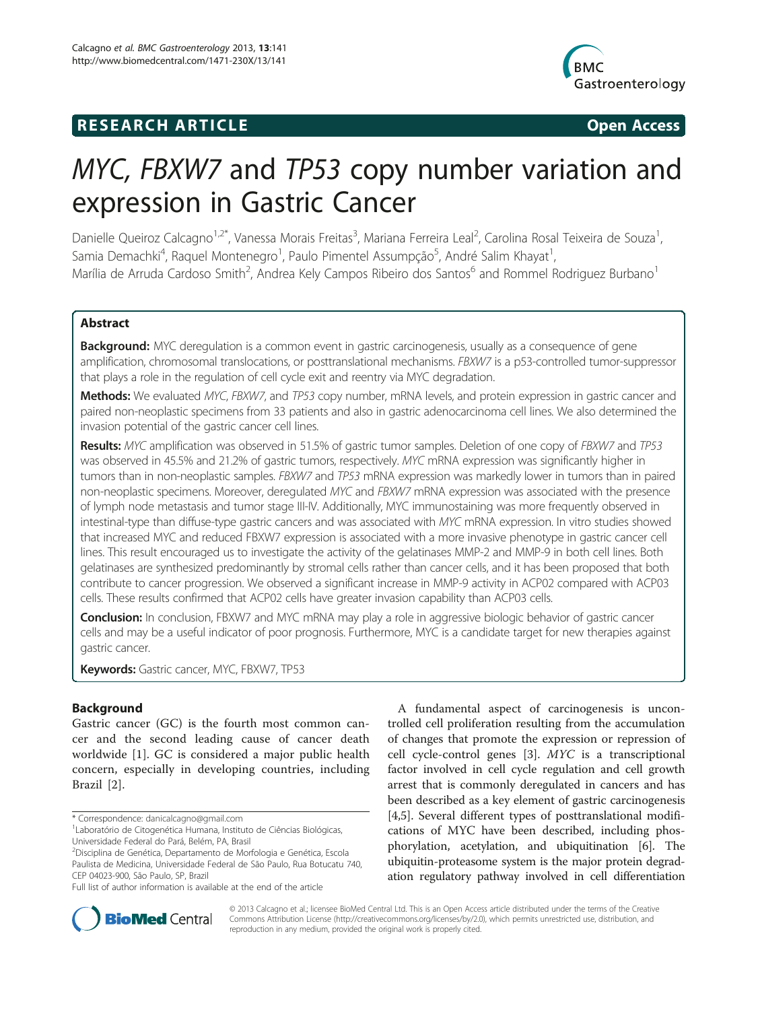# **RESEARCH ARTICLE Example 2014 CONSIDERING CONSIDERING CONSIDERING CONSIDERING CONSIDERING CONSIDERING CONSIDERING CONSIDERING CONSIDERING CONSIDERING CONSIDERING CONSIDERING CONSIDERING CONSIDERING CONSIDERING CONSIDE**



# MYC, FBXW7 and TP53 copy number variation and expression in Gastric Cancer

Danielle Queiroz Calcagno<sup>1,2\*</sup>, Vanessa Morais Freitas<sup>3</sup>, Mariana Ferreira Leal<sup>2</sup>, Carolina Rosal Teixeira de Souza<sup>1</sup> , Samia Demachki<sup>4</sup>, Raquel Montenegro<sup>1</sup>, Paulo Pimentel Assumpção<sup>5</sup>, André Salim Khayat<sup>1</sup> , Marília de Arruda Cardoso Smith<sup>2</sup>, Andrea Kely Campos Ribeiro dos Santos<sup>6</sup> and Rommel Rodriguez Burbano<sup>1</sup>

# Abstract

Background: MYC deregulation is a common event in gastric carcinogenesis, usually as a consequence of gene amplification, chromosomal translocations, or posttranslational mechanisms. FBXW7 is a p53-controlled tumor-suppressor that plays a role in the regulation of cell cycle exit and reentry via MYC degradation.

Methods: We evaluated MYC, FBXW7, and TP53 copy number, mRNA levels, and protein expression in gastric cancer and paired non-neoplastic specimens from 33 patients and also in gastric adenocarcinoma cell lines. We also determined the invasion potential of the gastric cancer cell lines.

Results: MYC amplification was observed in 51.5% of gastric tumor samples. Deletion of one copy of FBXW7 and TP53 was observed in 45.5% and 21.2% of gastric tumors, respectively. MYC mRNA expression was significantly higher in tumors than in non-neoplastic samples. FBXW7 and TP53 mRNA expression was markedly lower in tumors than in paired non-neoplastic specimens. Moreover, deregulated MYC and FBXW7 mRNA expression was associated with the presence of lymph node metastasis and tumor stage III-IV. Additionally, MYC immunostaining was more frequently observed in intestinal-type than diffuse-type gastric cancers and was associated with MYC mRNA expression. In vitro studies showed that increased MYC and reduced FBXW7 expression is associated with a more invasive phenotype in gastric cancer cell lines. This result encouraged us to investigate the activity of the gelatinases MMP-2 and MMP-9 in both cell lines. Both gelatinases are synthesized predominantly by stromal cells rather than cancer cells, and it has been proposed that both contribute to cancer progression. We observed a significant increase in MMP-9 activity in ACP02 compared with ACP03 cells. These results confirmed that ACP02 cells have greater invasion capability than ACP03 cells.

Conclusion: In conclusion, FBXW7 and MYC mRNA may play a role in aggressive biologic behavior of gastric cancer cells and may be a useful indicator of poor prognosis. Furthermore, MYC is a candidate target for new therapies against gastric cancer.

Keywords: Gastric cancer, MYC, FBXW7, TP53

# Background

Gastric cancer (GC) is the fourth most common cancer and the second leading cause of cancer death worldwide [[1](#page-8-0)]. GC is considered a major public health concern, especially in developing countries, including Brazil [[2\]](#page-8-0).

A fundamental aspect of carcinogenesis is uncontrolled cell proliferation resulting from the accumulation of changes that promote the expression or repression of cell cycle-control genes [\[3](#page-8-0)]. MYC is a transcriptional factor involved in cell cycle regulation and cell growth arrest that is commonly deregulated in cancers and has been described as a key element of gastric carcinogenesis [[4,5\]](#page-8-0). Several different types of posttranslational modifications of MYC have been described, including phosphorylation, acetylation, and ubiquitination [[6\]](#page-8-0). The ubiquitin-proteasome system is the major protein degradation regulatory pathway involved in cell differentiation



© 2013 Calcagno et al.; licensee BioMed Central Ltd. This is an Open Access article distributed under the terms of the Creative Commons Attribution License [\(http://creativecommons.org/licenses/by/2.0\)](http://creativecommons.org/licenses/by/2.0), which permits unrestricted use, distribution, and reproduction in any medium, provided the original work is properly cited.

<sup>\*</sup> Correspondence: [danicalcagno@gmail.com](mailto:danicalcagno@gmail.com) <sup>1</sup>

Laboratório de Citogenética Humana, Instituto de Ciências Biológicas, Universidade Federal do Pará, Belém, PA, Brasil

<sup>&</sup>lt;sup>2</sup>Disciplina de Genética, Departamento de Morfologia e Genética, Escola Paulista de Medicina, Universidade Federal de São Paulo, Rua Botucatu 740, CEP 04023-900, São Paulo, SP, Brazil

Full list of author information is available at the end of the article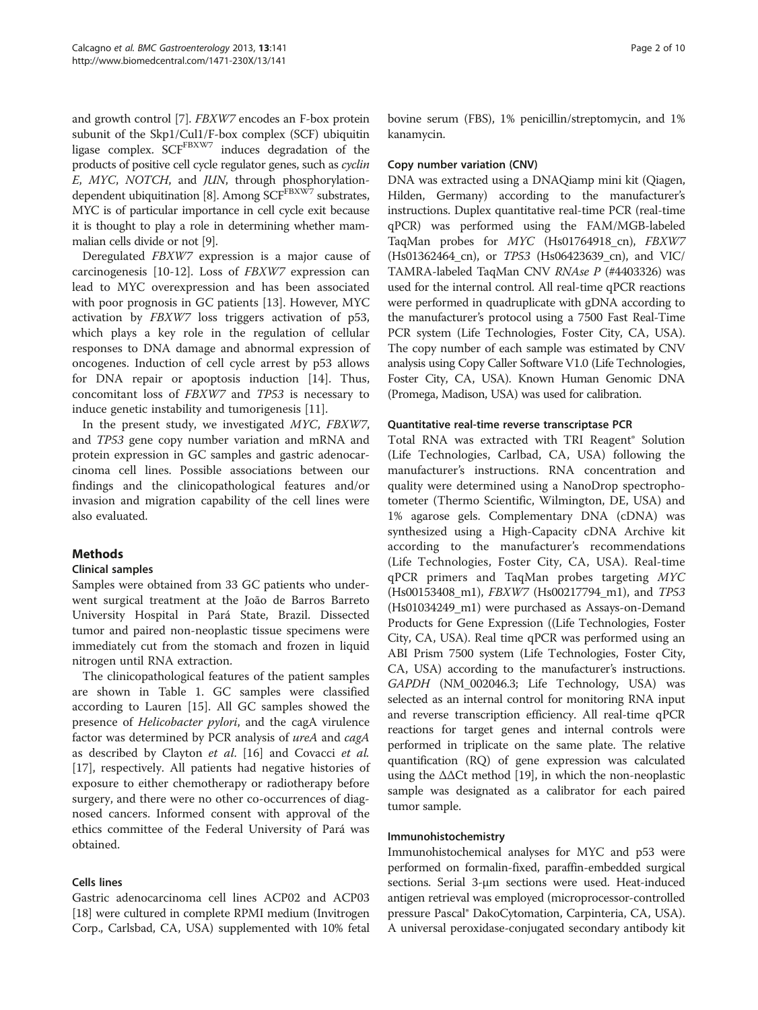and growth control [\[7](#page-8-0)]. FBXW7 encodes an F-box protein subunit of the Skp1/Cul1/F-box complex (SCF) ubiquitin ligase complex.  $SCF<sup>FBXW7</sup>$  induces degradation of the products of positive cell cycle regulator genes, such as *cyclin* E, MYC, NOTCH, and JUN, through phosphorylation-E, MYC, NOTCH, and JUN, through phosphorylation-<br>dependent ubiquitination [\[8](#page-8-0)]. Among SCF<sup>FBXW7</sup> substrates, MYC is of particular importance in cell cycle exit because it is thought to play a role in determining whether mammalian cells divide or not [[9](#page-8-0)].

Deregulated FBXW7 expression is a major cause of carcinogenesis [\[10](#page-8-0)-[12\]](#page-8-0). Loss of FBXW7 expression can lead to MYC overexpression and has been associated with poor prognosis in GC patients [\[13](#page-8-0)]. However, MYC activation by FBXW7 loss triggers activation of p53, which plays a key role in the regulation of cellular responses to DNA damage and abnormal expression of oncogenes. Induction of cell cycle arrest by p53 allows for DNA repair or apoptosis induction [\[14](#page-8-0)]. Thus, concomitant loss of FBXW7 and TP53 is necessary to induce genetic instability and tumorigenesis [[11\]](#page-8-0).

In the present study, we investigated MYC, FBXW7, and TP53 gene copy number variation and mRNA and protein expression in GC samples and gastric adenocarcinoma cell lines. Possible associations between our findings and the clinicopathological features and/or invasion and migration capability of the cell lines were also evaluated.

# Methods

# Clinical samples

Samples were obtained from 33 GC patients who underwent surgical treatment at the João de Barros Barreto University Hospital in Pará State, Brazil. Dissected tumor and paired non-neoplastic tissue specimens were immediately cut from the stomach and frozen in liquid nitrogen until RNA extraction.

The clinicopathological features of the patient samples are shown in Table [1](#page-2-0). GC samples were classified according to Lauren [[15](#page-8-0)]. All GC samples showed the presence of *Helicobacter pylori*, and the cagA virulence factor was determined by PCR analysis of ureA and cagA as described by Clayton et al. [\[16\]](#page-8-0) and Covacci et al. [[17\]](#page-9-0), respectively. All patients had negative histories of exposure to either chemotherapy or radiotherapy before surgery, and there were no other co-occurrences of diagnosed cancers. Informed consent with approval of the ethics committee of the Federal University of Pará was obtained.

# Cells lines

Gastric adenocarcinoma cell lines ACP02 and ACP03 [[18](#page-9-0)] were cultured in complete RPMI medium (Invitrogen Corp., Carlsbad, CA, USA) supplemented with 10% fetal

bovine serum (FBS), 1% penicillin/streptomycin, and 1% kanamycin.

#### Copy number variation (CNV)

DNA was extracted using a DNAQiamp mini kit (Qiagen, Hilden, Germany) according to the manufacturer's instructions. Duplex quantitative real-time PCR (real-time qPCR) was performed using the FAM/MGB-labeled TaqMan probes for MYC (Hs01764918\_cn), FBXW7 (Hs01362464\_cn), or TP53 (Hs06423639\_cn), and VIC/ TAMRA-labeled TaqMan CNV RNAse P (#4403326) was used for the internal control. All real-time qPCR reactions were performed in quadruplicate with gDNA according to the manufacturer's protocol using a 7500 Fast Real-Time PCR system (Life Technologies, Foster City, CA, USA). The copy number of each sample was estimated by CNV analysis using Copy Caller Software V1.0 (Life Technologies, Foster City, CA, USA). Known Human Genomic DNA (Promega, Madison, USA) was used for calibration.

#### Quantitative real-time reverse transcriptase PCR

Total RNA was extracted with TRI Reagent® Solution (Life Technologies, Carlbad, CA, USA) following the manufacturer's instructions. RNA concentration and quality were determined using a NanoDrop spectrophotometer (Thermo Scientific, Wilmington, DE, USA) and 1% agarose gels. Complementary DNA (cDNA) was synthesized using a High-Capacity cDNA Archive kit according to the manufacturer's recommendations (Life Technologies, Foster City, CA, USA). Real-time qPCR primers and TaqMan probes targeting MYC (Hs00153408\_m1), FBXW7 (Hs00217794\_m1), and TP53 (Hs01034249\_m1) were purchased as Assays-on-Demand Products for Gene Expression ((Life Technologies, Foster City, CA, USA). Real time qPCR was performed using an ABI Prism 7500 system (Life Technologies, Foster City, CA, USA) according to the manufacturer's instructions. GAPDH (NM\_002046.3; Life Technology, USA) was selected as an internal control for monitoring RNA input and reverse transcription efficiency. All real-time qPCR reactions for target genes and internal controls were performed in triplicate on the same plate. The relative quantification (RQ) of gene expression was calculated using the  $\Delta\Delta$ Ct method [[19](#page-9-0)], in which the non-neoplastic sample was designated as a calibrator for each paired tumor sample.

# Immunohistochemistry

Immunohistochemical analyses for MYC and p53 were performed on formalin-fixed, paraffin-embedded surgical sections. Serial 3-μm sections were used. Heat-induced antigen retrieval was employed (microprocessor-controlled pressure Pascal® DakoCytomation, Carpinteria, CA, USA). A universal peroxidase-conjugated secondary antibody kit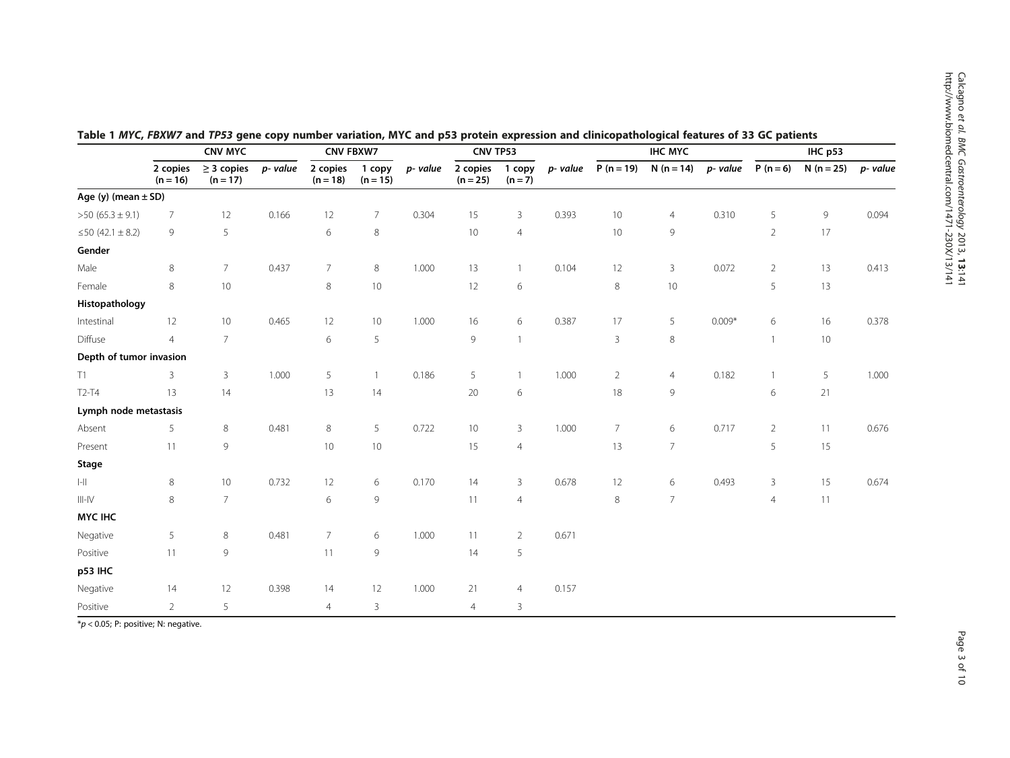|                                |                        | <b>CNV MYC</b>                |          | <b>CNV FBXW7</b>       |                      |          | CNV TP53               |                     |          | <b>IHC MYC</b> |                 |          | IHC p53        |             |          |
|--------------------------------|------------------------|-------------------------------|----------|------------------------|----------------------|----------|------------------------|---------------------|----------|----------------|-----------------|----------|----------------|-------------|----------|
|                                | 2 copies<br>$(n = 16)$ | $\geq$ 3 copies<br>$(n = 17)$ | p- value | 2 copies<br>$(n = 18)$ | 1 copy<br>$(n = 15)$ | p- value | 2 copies<br>$(n = 25)$ | 1 copy<br>$(n = 7)$ | p- value | $P(n = 19)$    | $N(n = 14)$     | p- value | $P(n = 6)$     | $N(n = 25)$ | p- value |
| Age (y) (mean $\pm$ SD)        |                        |                               |          |                        |                      |          |                        |                     |          |                |                 |          |                |             |          |
| $>50(65.3 \pm 9.1)$            | $\overline{7}$         | 12                            | 0.166    | 12                     | $\overline{7}$       | 0.304    | 15                     | 3                   | 0.393    | 10             | $\overline{4}$  | 0.310    | 5              | 9           | 0.094    |
| ≤50 (42.1 ± 8.2)               | 9                      | 5                             |          | 6                      | $\,8\,$              |          | 10                     | $\overline{4}$      |          | 10             | 9               |          | $2^{\circ}$    | 17          |          |
| Gender                         |                        |                               |          |                        |                      |          |                        |                     |          |                |                 |          |                |             |          |
| Male                           | $\,8\,$                | $\overline{7}$                | 0.437    | $\overline{7}$         | 8                    | 1.000    | 13                     | $\mathbf{1}$        | 0.104    | 12             | $\mathbf{3}$    | 0.072    | $\overline{2}$ | 13          | 0.413    |
| Female                         | 8                      | $10$                          |          | 8                      | 10                   |          | 12                     | $\,$ 6 $\,$         |          | 8              | 10              |          | 5              | 13          |          |
| Histopathology                 |                        |                               |          |                        |                      |          |                        |                     |          |                |                 |          |                |             |          |
| Intestinal                     | 12                     | 10                            | 0.465    | 12                     | 10 <sup>°</sup>      | 1.000    | 16                     | 6                   | 0.387    | 17             | 5               | $0.009*$ | 6              | 16          | 0.378    |
| Diffuse                        | $\overline{4}$         | $\overline{7}$                |          | 6                      | 5                    |          | 9                      | $\mathbf{1}$        |          | 3              | $\,8\,$         |          | $\mathbf{1}$   | $10\,$      |          |
| Depth of tumor invasion        |                        |                               |          |                        |                      |          |                        |                     |          |                |                 |          |                |             |          |
| T1                             | $\overline{3}$         | $\mathbf{3}$                  | 1.000    | 5                      | $\mathbf{1}$         | 0.186    | 5                      | $\mathbf{1}$        | 1.000    | $\overline{2}$ | $\overline{4}$  | 0.182    | $\mathbf{1}$   | 5           | 1.000    |
| T <sub>2</sub> -T <sub>4</sub> | 13                     | 14                            |          | 13                     | 14                   |          | 20                     | $\,$ 6 $\,$         |          | 18             | 9               |          | 6              | 21          |          |
| Lymph node metastasis          |                        |                               |          |                        |                      |          |                        |                     |          |                |                 |          |                |             |          |
| Absent                         | 5                      | 8                             | 0.481    | 8                      | 5                    | 0.722    | 10                     | 3                   | 1.000    | $\overline{7}$ | 6               | 0.717    | $\overline{2}$ | 11          | 0.676    |
| Present                        | 11                     | $\mathsf 9$                   |          | 10                     | $10$                 |          | 15                     | $\overline{4}$      |          | 13             | $\overline{7}$  |          | 5              | 15          |          |
| Stage                          |                        |                               |          |                        |                      |          |                        |                     |          |                |                 |          |                |             |          |
| $\left\  - \right\ $           | 8                      | 10                            | 0.732    | 12                     | 6                    | 0.170    | 14                     | 3                   | 0.678    | 12             | 6               | 0.493    | 3              | 15          | 0.674    |
| $III-N$                        | 8                      | $7\overline{ }$               |          | 6                      | 9                    |          | 11                     | $\overline{4}$      |          | 8              | $7\overline{ }$ |          | $\overline{4}$ | 11          |          |
| <b>MYC IHC</b>                 |                        |                               |          |                        |                      |          |                        |                     |          |                |                 |          |                |             |          |
| Negative                       | 5                      | $\,8\,$                       | 0.481    | $7^{\circ}$            | 6                    | 1.000    | 11                     | $\overline{2}$      | 0.671    |                |                 |          |                |             |          |
| Positive                       | 11                     | 9                             |          | 11                     | 9                    |          | 14                     | 5                   |          |                |                 |          |                |             |          |
| p53 IHC                        |                        |                               |          |                        |                      |          |                        |                     |          |                |                 |          |                |             |          |
| Negative                       | 14                     | 12                            | 0.398    | 14                     | 12                   | 1.000    | 21                     | $\overline{4}$      | 0.157    |                |                 |          |                |             |          |
| Positive                       | $\overline{2}$         | $\sqrt{5}$                    |          | $\overline{4}$         | $\mathbf{3}$         |          | $\overline{4}$         | 3                   |          |                |                 |          |                |             |          |

<span id="page-2-0"></span>

| Table 1 MYC, FBXW7 and TP53 gene copy number variation, MYC and p53 protein expression and clinicopathological features of 33 GC patients |  |  |  |
|-------------------------------------------------------------------------------------------------------------------------------------------|--|--|--|
|-------------------------------------------------------------------------------------------------------------------------------------------|--|--|--|

 $*p$  < 0.05; P: positive; N: negative.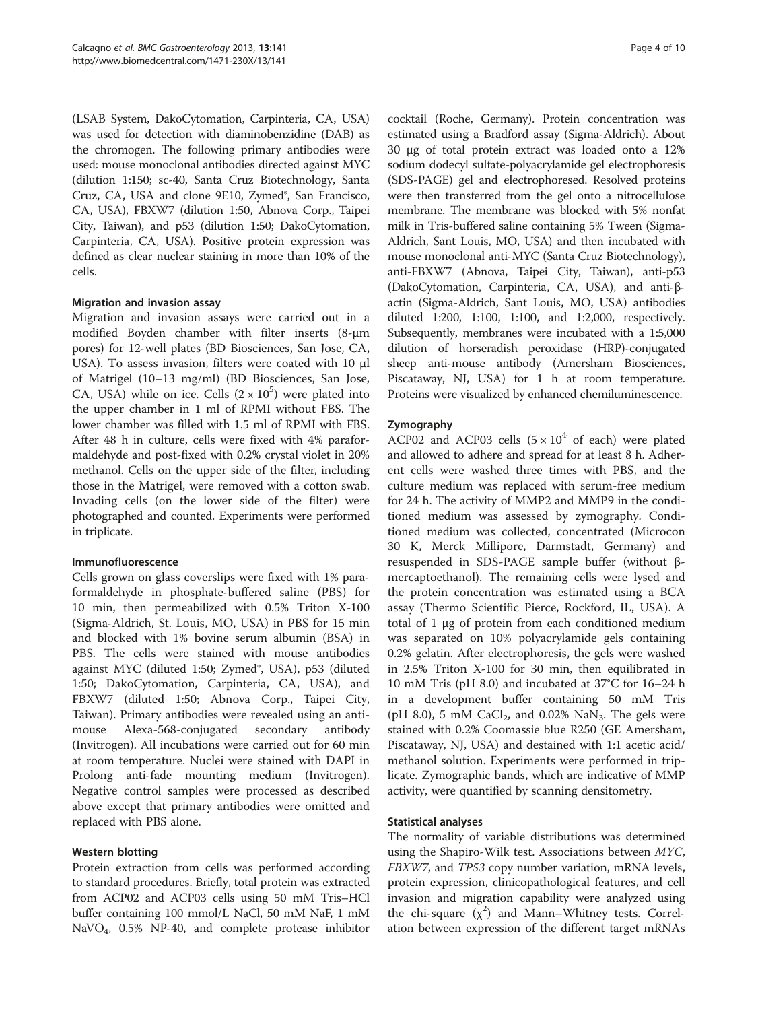(LSAB System, DakoCytomation, Carpinteria, CA, USA) was used for detection with diaminobenzidine (DAB) as the chromogen. The following primary antibodies were used: mouse monoclonal antibodies directed against MYC (dilution 1:150; sc-40, Santa Cruz Biotechnology, Santa Cruz, CA, USA and clone 9E10, Zymed®, San Francisco, CA, USA), FBXW7 (dilution 1:50, Abnova Corp., Taipei City, Taiwan), and p53 (dilution 1:50; DakoCytomation, Carpinteria, CA, USA). Positive protein expression was defined as clear nuclear staining in more than 10% of the cells.

#### Migration and invasion assay

Migration and invasion assays were carried out in a modified Boyden chamber with filter inserts (8-μm pores) for 12-well plates (BD Biosciences, San Jose, CA, USA). To assess invasion, filters were coated with 10 μl of Matrigel (10–13 mg/ml) (BD Biosciences, San Jose, CA, USA) while on ice. Cells  $(2 \times 10^5)$  were plated into the upper chamber in 1 ml of RPMI without FBS. The lower chamber was filled with 1.5 ml of RPMI with FBS. After 48 h in culture, cells were fixed with 4% paraformaldehyde and post-fixed with 0.2% crystal violet in 20% methanol. Cells on the upper side of the filter, including those in the Matrigel, were removed with a cotton swab. Invading cells (on the lower side of the filter) were photographed and counted. Experiments were performed in triplicate.

#### Immunofluorescence

Cells grown on glass coverslips were fixed with 1% paraformaldehyde in phosphate-buffered saline (PBS) for 10 min, then permeabilized with 0.5% Triton X-100 (Sigma-Aldrich, St. Louis, MO, USA) in PBS for 15 min and blocked with 1% bovine serum albumin (BSA) in PBS. The cells were stained with mouse antibodies against MYC (diluted 1:50; Zymed®, USA), p53 (diluted 1:50; DakoCytomation, Carpinteria, CA, USA), and FBXW7 (diluted 1:50; Abnova Corp., Taipei City, Taiwan). Primary antibodies were revealed using an antimouse Alexa-568-conjugated secondary antibody (Invitrogen). All incubations were carried out for 60 min at room temperature. Nuclei were stained with DAPI in Prolong anti-fade mounting medium (Invitrogen). Negative control samples were processed as described above except that primary antibodies were omitted and replaced with PBS alone.

# Western blotting

Protein extraction from cells was performed according to standard procedures. Briefly, total protein was extracted from ACP02 and ACP03 cells using 50 mM Tris–HCl buffer containing 100 mmol/L NaCl, 50 mM NaF, 1 mM NaVO4, 0.5% NP-40, and complete protease inhibitor

cocktail (Roche, Germany). Protein concentration was estimated using a Bradford assay (Sigma-Aldrich). About 30 μg of total protein extract was loaded onto a 12% sodium dodecyl sulfate-polyacrylamide gel electrophoresis (SDS-PAGE) gel and electrophoresed. Resolved proteins were then transferred from the gel onto a nitrocellulose membrane. The membrane was blocked with 5% nonfat milk in Tris-buffered saline containing 5% Tween (Sigma-Aldrich, Sant Louis, MO, USA) and then incubated with mouse monoclonal anti-MYC (Santa Cruz Biotechnology), anti-FBXW7 (Abnova, Taipei City, Taiwan), anti-p53 (DakoCytomation, Carpinteria, CA, USA), and anti-βactin (Sigma-Aldrich, Sant Louis, MO, USA) antibodies diluted 1:200, 1:100, 1:100, and 1:2,000, respectively. Subsequently, membranes were incubated with a 1:5,000 dilution of horseradish peroxidase (HRP)-conjugated sheep anti-mouse antibody (Amersham Biosciences, Piscataway, NJ, USA) for 1 h at room temperature. Proteins were visualized by enhanced chemiluminescence.

#### Zymography

ACP02 and ACP03 cells  $(5 \times 10^4$  of each) were plated and allowed to adhere and spread for at least 8 h. Adherent cells were washed three times with PBS, and the culture medium was replaced with serum-free medium for 24 h. The activity of MMP2 and MMP9 in the conditioned medium was assessed by zymography. Conditioned medium was collected, concentrated (Microcon 30 K, Merck Millipore, Darmstadt, Germany) and resuspended in SDS-PAGE sample buffer (without βmercaptoethanol). The remaining cells were lysed and the protein concentration was estimated using a BCA assay (Thermo Scientific Pierce, Rockford, IL, USA). A total of 1 μg of protein from each conditioned medium was separated on 10% polyacrylamide gels containing 0.2% gelatin. After electrophoresis, the gels were washed in 2.5% Triton X-100 for 30 min, then equilibrated in 10 mM Tris (pH 8.0) and incubated at 37°C for 16–24 h in a development buffer containing 50 mM Tris (pH 8.0), 5 mM CaCl<sub>2</sub>, and 0.02% NaN<sub>3</sub>. The gels were stained with 0.2% Coomassie blue R250 (GE Amersham, Piscataway, NJ, USA) and destained with 1:1 acetic acid/ methanol solution. Experiments were performed in triplicate. Zymographic bands, which are indicative of MMP activity, were quantified by scanning densitometry.

#### Statistical analyses

The normality of variable distributions was determined using the Shapiro-Wilk test. Associations between MYC, FBXW7, and TP53 copy number variation, mRNA levels, protein expression, clinicopathological features, and cell invasion and migration capability were analyzed using the chi-square  $(x^2)$  and Mann–Whitney tests. Correlation between expression of the different target mRNAs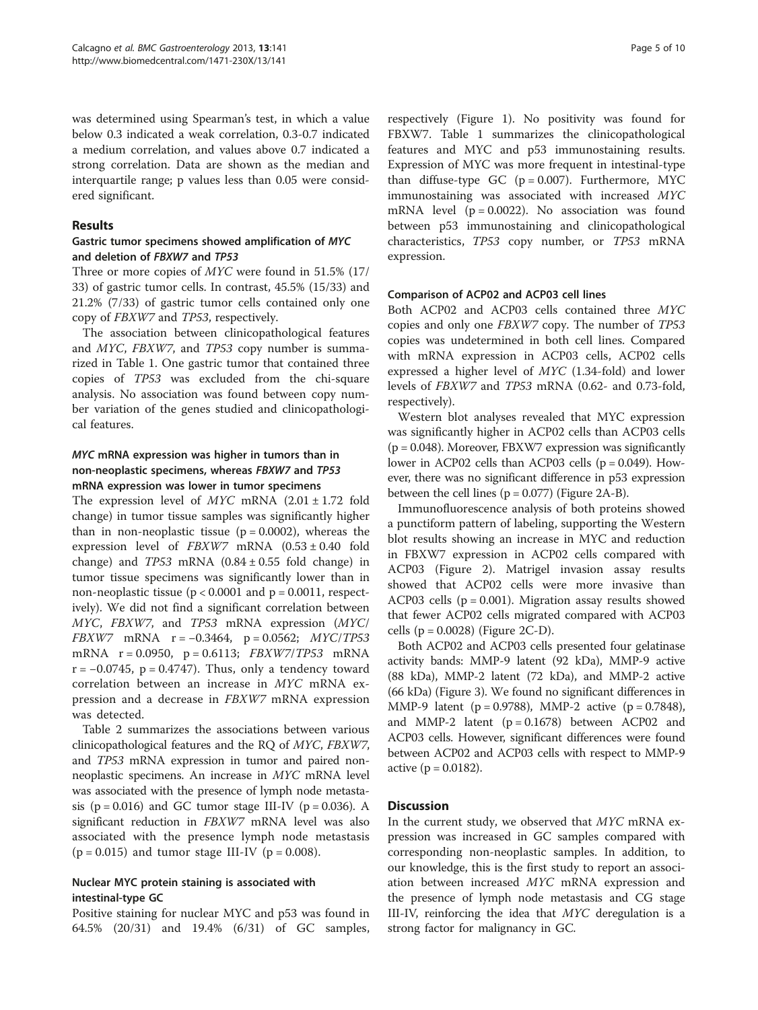was determined using Spearman's test, in which a value below 0.3 indicated a weak correlation, 0.3-0.7 indicated a medium correlation, and values above 0.7 indicated a strong correlation. Data are shown as the median and interquartile range; p values less than 0.05 were considered significant.

#### Results

#### Gastric tumor specimens showed amplification of MYC and deletion of FBXW7 and TP53

Three or more copies of MYC were found in 51.5% (17/ 33) of gastric tumor cells. In contrast, 45.5% (15/33) and 21.2% (7/33) of gastric tumor cells contained only one copy of FBXW7 and TP53, respectively.

The association between clinicopathological features and MYC, FBXW7, and TP53 copy number is summarized in Table [1.](#page-2-0) One gastric tumor that contained three copies of TP53 was excluded from the chi-square analysis. No association was found between copy number variation of the genes studied and clinicopathological features.

# MYC mRNA expression was higher in tumors than in non-neoplastic specimens, whereas FBXW7 and TP53 mRNA expression was lower in tumor specimens

The expression level of  $MYC$  mRNA  $(2.01 \pm 1.72$  fold change) in tumor tissue samples was significantly higher than in non-neoplastic tissue ( $p = 0.0002$ ), whereas the expression level of  $FBXW7$  mRNA  $(0.53 \pm 0.40$  fold change) and  $TP53$  mRNA  $(0.84 \pm 0.55)$  fold change) in tumor tissue specimens was significantly lower than in non-neoplastic tissue ( $p < 0.0001$  and  $p = 0.0011$ , respectively). We did not find a significant correlation between MYC, FBXW7, and TP53 mRNA expression (MYC/ FBXW7 mRNA r = <sup>−</sup>0.3464, p = 0.0562; MYC/TP53 mRNA r = 0.0950, p = 0.6113; FBXW7/TP53 mRNA  $r = -0.0745$ ,  $p = 0.4747$ ). Thus, only a tendency toward correlation between an increase in MYC mRNA expression and a decrease in FBXW7 mRNA expression was detected.

Table [2](#page-5-0) summarizes the associations between various clinicopathological features and the RQ of MYC, FBXW7, and TP53 mRNA expression in tumor and paired nonneoplastic specimens. An increase in MYC mRNA level was associated with the presence of lymph node metastasis ( $p = 0.016$ ) and GC tumor stage III-IV ( $p = 0.036$ ). A significant reduction in FBXW7 mRNA level was also associated with the presence lymph node metastasis ( $p = 0.015$ ) and tumor stage III-IV ( $p = 0.008$ ).

# Nuclear MYC protein staining is associated with intestinal-type GC

Positive staining for nuclear MYC and p53 was found in 64.5% (20/31) and 19.4% (6/31) of GC samples,

respectively (Figure [1\)](#page-6-0). No positivity was found for FBXW7. Table [1](#page-2-0) summarizes the clinicopathological features and MYC and p53 immunostaining results. Expression of MYC was more frequent in intestinal-type than diffuse-type GC  $(p = 0.007)$ . Furthermore, MYC immunostaining was associated with increased MYC mRNA level  $(p = 0.0022)$ . No association was found between p53 immunostaining and clinicopathological characteristics, TP53 copy number, or TP53 mRNA expression.

# Comparison of ACP02 and ACP03 cell lines

Both ACP02 and ACP03 cells contained three MYC copies and only one FBXW7 copy. The number of TP53 copies was undetermined in both cell lines. Compared with mRNA expression in ACP03 cells, ACP02 cells expressed a higher level of MYC (1.34-fold) and lower levels of FBXW7 and TP53 mRNA (0.62- and 0.73-fold, respectively).

Western blot analyses revealed that MYC expression was significantly higher in ACP02 cells than ACP03 cells  $(p = 0.048)$ . Moreover, FBXW7 expression was significantly lower in ACP02 cells than ACP03 cells ( $p = 0.049$ ). However, there was no significant difference in p53 expression between the cell lines  $(p = 0.077)$  (Figure [2](#page-6-0)A-B).

Immunofluorescence analysis of both proteins showed a punctiform pattern of labeling, supporting the Western blot results showing an increase in MYC and reduction in FBXW7 expression in ACP02 cells compared with ACP03 (Figure [2](#page-6-0)). Matrigel invasion assay results showed that ACP02 cells were more invasive than ACP03 cells ( $p = 0.001$ ). Migration assay results showed that fewer ACP02 cells migrated compared with ACP03 cells (p = 0.0028) (Figure [2C](#page-6-0)-D).

Both ACP02 and ACP03 cells presented four gelatinase activity bands: MMP-9 latent (92 kDa), MMP-9 active (88 kDa), MMP-2 latent (72 kDa), and MMP-2 active (66 kDa) (Figure [3\)](#page-7-0). We found no significant differences in MMP-9 latent ( $p = 0.9788$ ), MMP-2 active ( $p = 0.7848$ ), and MMP-2 latent  $(p = 0.1678)$  between ACP02 and ACP03 cells. However, significant differences were found between ACP02 and ACP03 cells with respect to MMP-9 active ( $p = 0.0182$ ).

# Discussion

In the current study, we observed that MYC mRNA expression was increased in GC samples compared with corresponding non-neoplastic samples. In addition, to our knowledge, this is the first study to report an association between increased MYC mRNA expression and the presence of lymph node metastasis and CG stage III-IV, reinforcing the idea that MYC deregulation is a strong factor for malignancy in GC.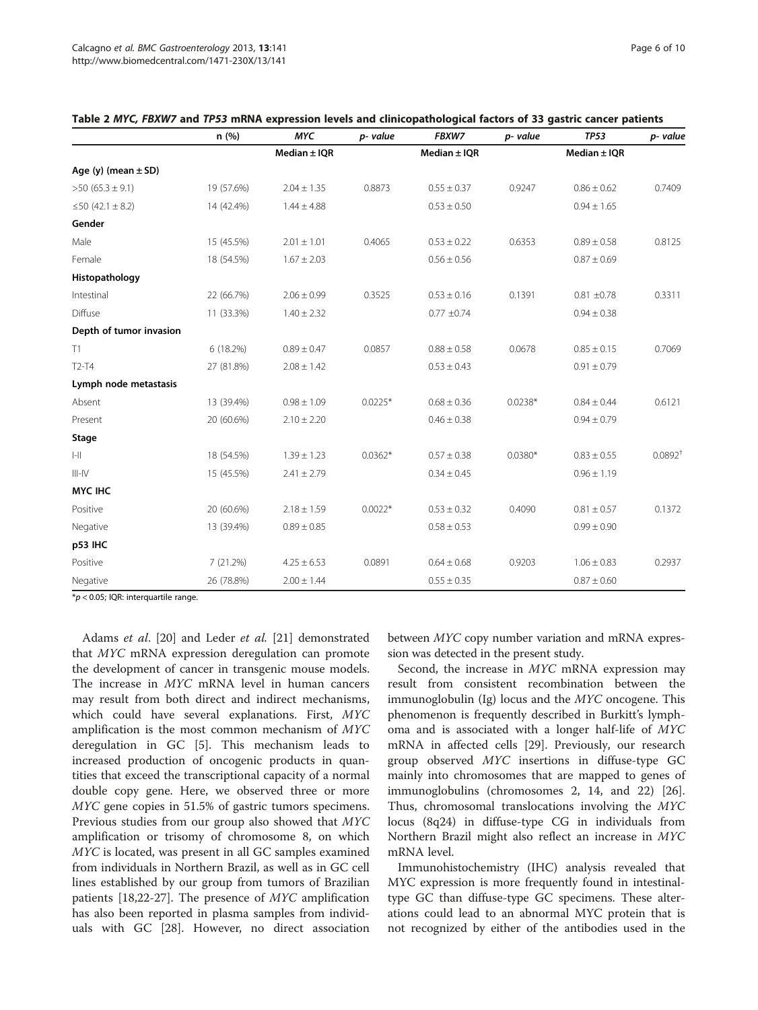|                         | n(%)       | <b>MYC</b>       | p- value  | FBXW7            | p- value  | <b>TP53</b>      | p- value     |
|-------------------------|------------|------------------|-----------|------------------|-----------|------------------|--------------|
|                         |            | Median $\pm$ IQR |           | Median $\pm$ IQR |           | Median $\pm$ IQR |              |
| Age (y) (mean $\pm$ SD) |            |                  |           |                  |           |                  |              |
| $>50(65.3 \pm 9.1)$     | 19 (57.6%) | $2.04 \pm 1.35$  | 0.8873    | $0.55 \pm 0.37$  | 0.9247    | $0.86 \pm 0.62$  | 0.7409       |
| ≤50 (42.1 ± 8.2)        | 14 (42.4%) | $1.44 \pm 4.88$  |           | $0.53 \pm 0.50$  |           | $0.94 \pm 1.65$  |              |
| Gender                  |            |                  |           |                  |           |                  |              |
| Male                    | 15 (45.5%) | $2.01 \pm 1.01$  | 0.4065    | $0.53 \pm 0.22$  | 0.6353    | $0.89 \pm 0.58$  | 0.8125       |
| Female                  | 18 (54.5%) | $1.67 \pm 2.03$  |           | $0.56 \pm 0.56$  |           | $0.87 \pm 0.69$  |              |
| Histopathology          |            |                  |           |                  |           |                  |              |
| Intestinal              | 22 (66.7%) | $2.06 \pm 0.99$  | 0.3525    | $0.53 \pm 0.16$  | 0.1391    | $0.81 \pm 0.78$  | 0.3311       |
| Diffuse                 | 11 (33.3%) | $1.40 \pm 2.32$  |           | $0.77 \pm 0.74$  |           | $0.94 \pm 0.38$  |              |
| Depth of tumor invasion |            |                  |           |                  |           |                  |              |
| T1                      | 6 (18.2%)  | $0.89 \pm 0.47$  | 0.0857    | $0.88 \pm 0.58$  | 0.0678    | $0.85 \pm 0.15$  | 0.7069       |
| $T2-T4$                 | 27 (81.8%) | $2.08 \pm 1.42$  |           | $0.53 \pm 0.43$  |           | $0.91 \pm 0.79$  |              |
| Lymph node metastasis   |            |                  |           |                  |           |                  |              |
| Absent                  | 13 (39.4%) | $0.98 \pm 1.09$  | $0.0225*$ | $0.68 \pm 0.36$  | $0.0238*$ | $0.84 \pm 0.44$  | 0.6121       |
| Present                 | 20 (60.6%) | $2.10 \pm 2.20$  |           | $0.46 \pm 0.38$  |           | $0.94 \pm 0.79$  |              |
| Stage                   |            |                  |           |                  |           |                  |              |
| $ -  $                  | 18 (54.5%) | $1.39 \pm 1.23$  | $0.0362*$ | $0.57 \pm 0.38$  | $0.0380*$ | $0.83 \pm 0.55$  | $0.0892^{+}$ |
| $III$ -IV               | 15 (45.5%) | $2.41 \pm 2.79$  |           | $0.34 \pm 0.45$  |           | $0.96 \pm 1.19$  |              |
| <b>MYC IHC</b>          |            |                  |           |                  |           |                  |              |
| Positive                | 20 (60.6%) | $2.18 \pm 1.59$  | $0.0022*$ | $0.53 \pm 0.32$  | 0.4090    | $0.81 \pm 0.57$  | 0.1372       |
| Negative                | 13 (39.4%) | $0.89 \pm 0.85$  |           | $0.58 \pm 0.53$  |           | $0.99 \pm 0.90$  |              |
| p53 IHC                 |            |                  |           |                  |           |                  |              |
| Positive                | 7 (21.2%)  | $4.25 \pm 6.53$  | 0.0891    | $0.64 \pm 0.68$  | 0.9203    | $1.06 \pm 0.83$  | 0.2937       |
| Negative                | 26 (78.8%) | $2.00 \pm 1.44$  |           | $0.55 \pm 0.35$  |           | $0.87 \pm 0.60$  |              |

<span id="page-5-0"></span>

 $*p$  < 0.05; IQR: interquartile range.

Adams et al. [[20\]](#page-9-0) and Leder et al. [\[21](#page-9-0)] demonstrated that MYC mRNA expression deregulation can promote the development of cancer in transgenic mouse models. The increase in MYC mRNA level in human cancers may result from both direct and indirect mechanisms, which could have several explanations. First, MYC amplification is the most common mechanism of MYC deregulation in GC [\[5\]](#page-8-0). This mechanism leads to increased production of oncogenic products in quantities that exceed the transcriptional capacity of a normal double copy gene. Here, we observed three or more MYC gene copies in 51.5% of gastric tumors specimens. Previous studies from our group also showed that MYC amplification or trisomy of chromosome 8, on which MYC is located, was present in all GC samples examined from individuals in Northern Brazil, as well as in GC cell lines established by our group from tumors of Brazilian patients [[18,22-27](#page-9-0)]. The presence of MYC amplification has also been reported in plasma samples from individuals with GC [[28](#page-9-0)]. However, no direct association

between MYC copy number variation and mRNA expression was detected in the present study.

Second, the increase in MYC mRNA expression may result from consistent recombination between the immunoglobulin (Ig) locus and the MYC oncogene. This phenomenon is frequently described in Burkitt's lymphoma and is associated with a longer half-life of MYC mRNA in affected cells [\[29](#page-9-0)]. Previously, our research group observed MYC insertions in diffuse-type GC mainly into chromosomes that are mapped to genes of immunoglobulins (chromosomes 2, 14, and 22) [\[26](#page-9-0)]. Thus, chromosomal translocations involving the MYC locus (8q24) in diffuse-type CG in individuals from Northern Brazil might also reflect an increase in MYC mRNA level.

Immunohistochemistry (IHC) analysis revealed that MYC expression is more frequently found in intestinaltype GC than diffuse-type GC specimens. These alterations could lead to an abnormal MYC protein that is not recognized by either of the antibodies used in the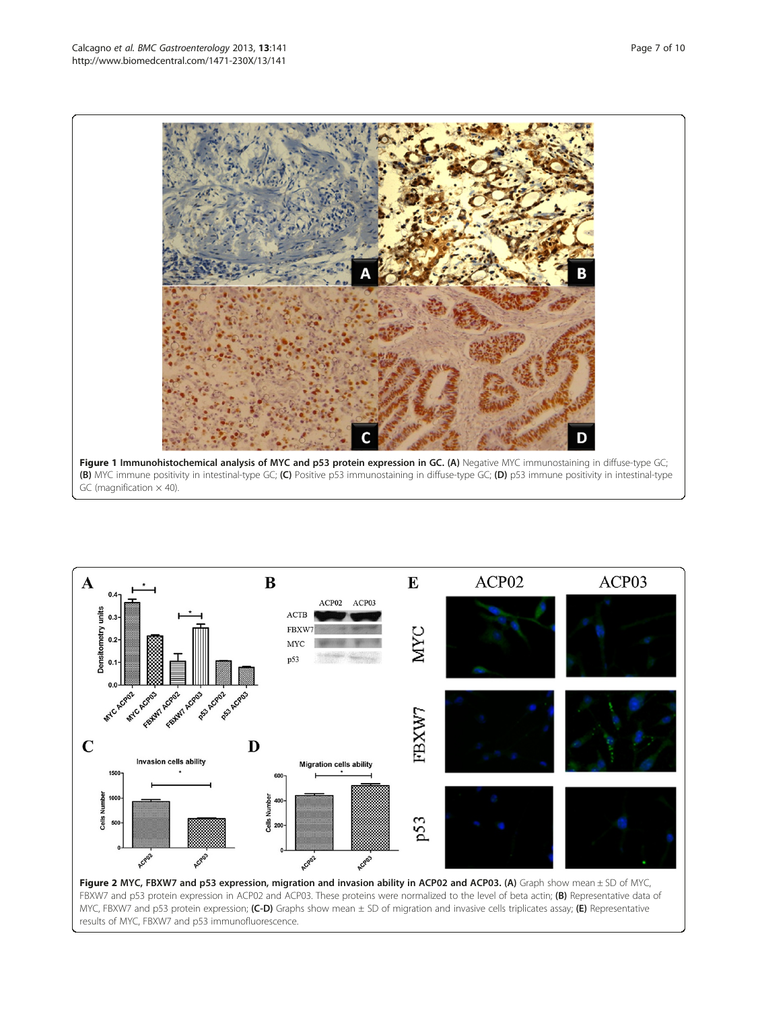<span id="page-6-0"></span>



FBXW7 and p53 protein expression in ACP02 and ACP03. These proteins were normalized to the level of beta actin; (B) Representative data of MYC, FBXW7 and p53 protein expression; (C-D) Graphs show mean  $\pm$  SD of migration and invasive cells triplicates assay; (E) Representative results of MYC, FBXW7 and p53 immunofluorescence.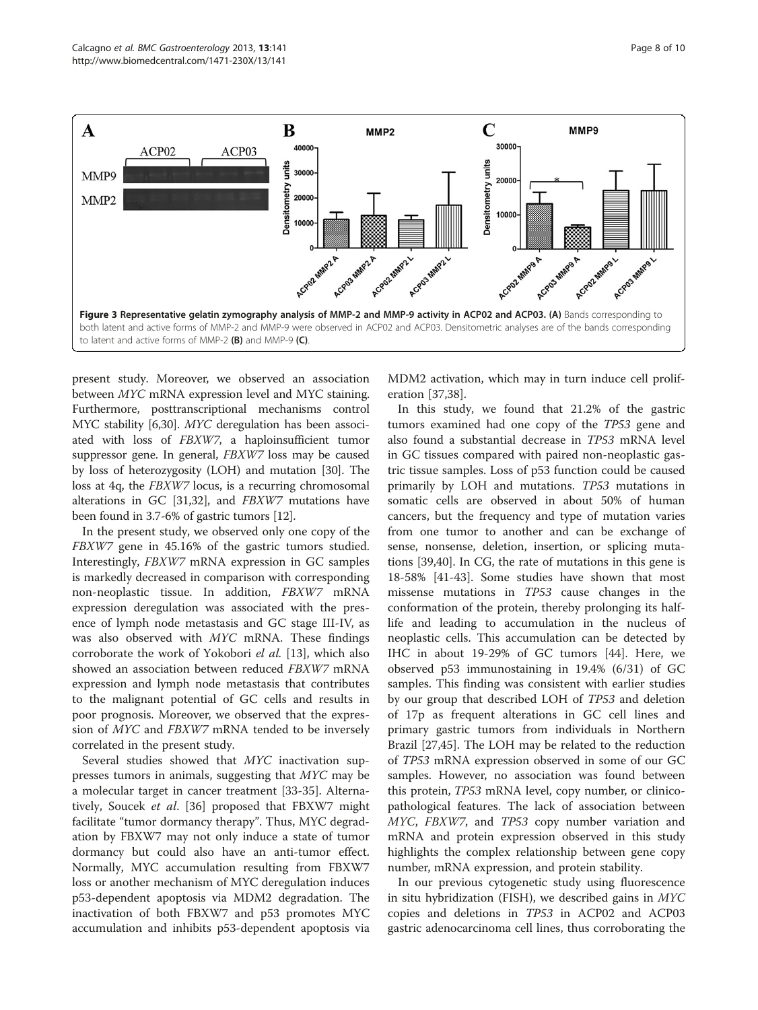<span id="page-7-0"></span>

present study. Moreover, we observed an association between MYC mRNA expression level and MYC staining. Furthermore, posttranscriptional mechanisms control MYC stability [[6](#page-8-0)[,30](#page-9-0)]. MYC deregulation has been associated with loss of FBXW7, a haploinsufficient tumor suppressor gene. In general, FBXW7 loss may be caused by loss of heterozygosity (LOH) and mutation [[30](#page-9-0)]. The loss at 4q, the FBXW7 locus, is a recurring chromosomal alterations in GC [[31,32](#page-9-0)], and FBXW7 mutations have been found in 3.7-6% of gastric tumors [[12](#page-8-0)].

In the present study, we observed only one copy of the FBXW7 gene in 45.16% of the gastric tumors studied. Interestingly, FBXW7 mRNA expression in GC samples is markedly decreased in comparison with corresponding non-neoplastic tissue. In addition, FBXW7 mRNA expression deregulation was associated with the presence of lymph node metastasis and GC stage III-IV, as was also observed with MYC mRNA. These findings corroborate the work of Yokobori el al. [\[13\]](#page-8-0), which also showed an association between reduced FBXW7 mRNA expression and lymph node metastasis that contributes to the malignant potential of GC cells and results in poor prognosis. Moreover, we observed that the expression of MYC and FBXW7 mRNA tended to be inversely correlated in the present study.

Several studies showed that MYC inactivation suppresses tumors in animals, suggesting that MYC may be a molecular target in cancer treatment [\[33](#page-9-0)-[35\]](#page-9-0). Alternatively, Soucek et al. [[36\]](#page-9-0) proposed that FBXW7 might facilitate "tumor dormancy therapy". Thus, MYC degradation by FBXW7 may not only induce a state of tumor dormancy but could also have an anti-tumor effect. Normally, MYC accumulation resulting from FBXW7 loss or another mechanism of MYC deregulation induces p53-dependent apoptosis via MDM2 degradation. The inactivation of both FBXW7 and p53 promotes MYC accumulation and inhibits p53-dependent apoptosis via MDM2 activation, which may in turn induce cell proliferation [[37](#page-9-0),[38](#page-9-0)].

In this study, we found that 21.2% of the gastric tumors examined had one copy of the TP53 gene and also found a substantial decrease in TP53 mRNA level in GC tissues compared with paired non-neoplastic gastric tissue samples. Loss of p53 function could be caused primarily by LOH and mutations. TP53 mutations in somatic cells are observed in about 50% of human cancers, but the frequency and type of mutation varies from one tumor to another and can be exchange of sense, nonsense, deletion, insertion, or splicing mutations [[39,40\]](#page-9-0). In CG, the rate of mutations in this gene is 18-58% [[41-43\]](#page-9-0). Some studies have shown that most missense mutations in TP53 cause changes in the conformation of the protein, thereby prolonging its halflife and leading to accumulation in the nucleus of neoplastic cells. This accumulation can be detected by IHC in about 19-29% of GC tumors [\[44](#page-9-0)]. Here, we observed p53 immunostaining in 19.4% (6/31) of GC samples. This finding was consistent with earlier studies by our group that described LOH of TP53 and deletion of 17p as frequent alterations in GC cell lines and primary gastric tumors from individuals in Northern Brazil [\[27,45](#page-9-0)]. The LOH may be related to the reduction of TP53 mRNA expression observed in some of our GC samples. However, no association was found between this protein, TP53 mRNA level, copy number, or clinicopathological features. The lack of association between MYC, FBXW7, and TP53 copy number variation and mRNA and protein expression observed in this study highlights the complex relationship between gene copy number, mRNA expression, and protein stability.

In our previous cytogenetic study using fluorescence in situ hybridization (FISH), we described gains in MYC copies and deletions in TP53 in ACP02 and ACP03 gastric adenocarcinoma cell lines, thus corroborating the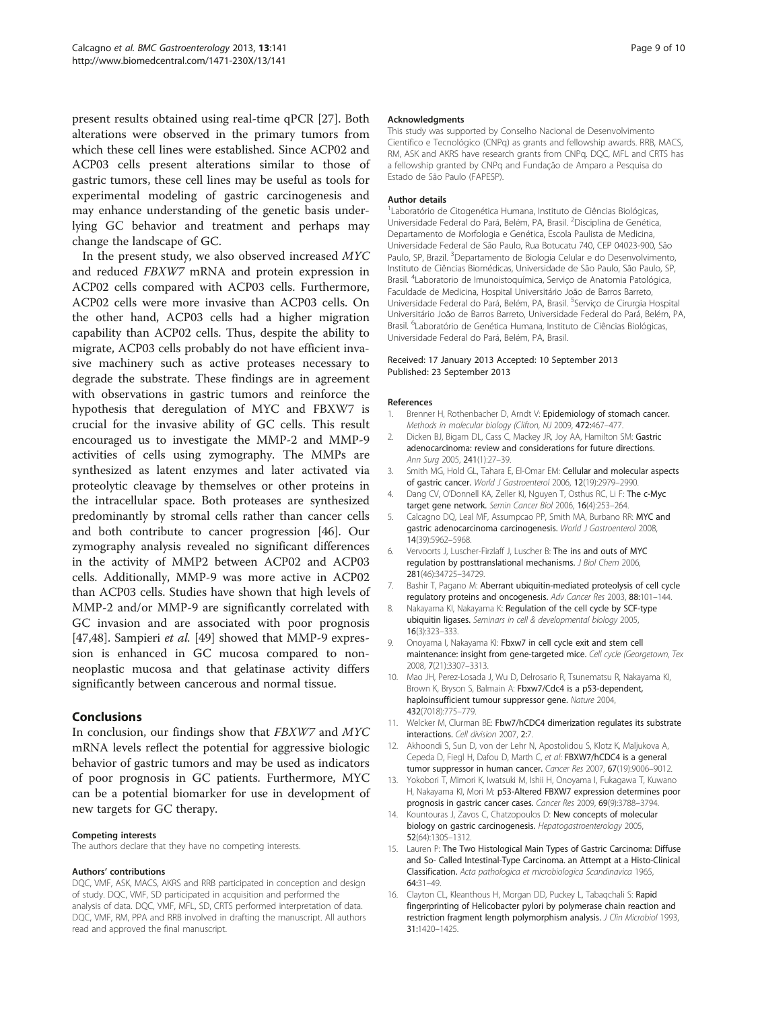<span id="page-8-0"></span>present results obtained using real-time qPCR [[27\]](#page-9-0). Both alterations were observed in the primary tumors from which these cell lines were established. Since ACP02 and ACP03 cells present alterations similar to those of gastric tumors, these cell lines may be useful as tools for experimental modeling of gastric carcinogenesis and may enhance understanding of the genetic basis underlying GC behavior and treatment and perhaps may change the landscape of GC.

In the present study, we also observed increased MYC and reduced FBXW7 mRNA and protein expression in ACP02 cells compared with ACP03 cells. Furthermore, ACP02 cells were more invasive than ACP03 cells. On the other hand, ACP03 cells had a higher migration capability than ACP02 cells. Thus, despite the ability to migrate, ACP03 cells probably do not have efficient invasive machinery such as active proteases necessary to degrade the substrate. These findings are in agreement with observations in gastric tumors and reinforce the hypothesis that deregulation of MYC and FBXW7 is crucial for the invasive ability of GC cells. This result encouraged us to investigate the MMP-2 and MMP-9 activities of cells using zymography. The MMPs are synthesized as latent enzymes and later activated via proteolytic cleavage by themselves or other proteins in the intracellular space. Both proteases are synthesized predominantly by stromal cells rather than cancer cells and both contribute to cancer progression [[46\]](#page-9-0). Our zymography analysis revealed no significant differences in the activity of MMP2 between ACP02 and ACP03 cells. Additionally, MMP-9 was more active in ACP02 than ACP03 cells. Studies have shown that high levels of MMP-2 and/or MMP-9 are significantly correlated with GC invasion and are associated with poor prognosis [[47,48\]](#page-9-0). Sampieri et al. [\[49\]](#page-9-0) showed that MMP-9 expression is enhanced in GC mucosa compared to nonneoplastic mucosa and that gelatinase activity differs significantly between cancerous and normal tissue.

#### Conclusions

In conclusion, our findings show that FBXW7 and MYC mRNA levels reflect the potential for aggressive biologic behavior of gastric tumors and may be used as indicators of poor prognosis in GC patients. Furthermore, MYC can be a potential biomarker for use in development of new targets for GC therapy.

#### Competing interests

The authors declare that they have no competing interests.

#### Authors' contributions

DQC, VMF, ASK, MACS, AKRS and RRB participated in conception and design of study. DQC, VMF, SD participated in acquisition and performed the analysis of data. DQC, VMF, MFL, SD, CRTS performed interpretation of data. DQC, VMF, RM, PPA and RRB involved in drafting the manuscript. All authors read and approved the final manuscript.

#### Acknowledgments

This study was supported by Conselho Nacional de Desenvolvimento Científico e Tecnológico (CNPq) as grants and fellowship awards. RRB, MACS, RM, ASK and AKRS have research grants from CNPq. DQC, MFL and CRTS has a fellowship granted by CNPq and Fundação de Amparo a Pesquisa do Estado de São Paulo (FAPESP).

#### Author details

1 Laboratório de Citogenética Humana, Instituto de Ciências Biológicas, Universidade Federal do Pará, Belém, PA, Brasil. <sup>2</sup>Disciplina de Genética, Departamento de Morfologia e Genética, Escola Paulista de Medicina, Universidade Federal de São Paulo, Rua Botucatu 740, CEP 04023-900, São Paulo, SP, Brazil. <sup>3</sup>Departamento de Biologia Celular e do Desenvolvimento, Instituto de Ciências Biomédicas, Universidade de São Paulo, São Paulo, SP, Brasil. <sup>4</sup> Laboratorio de Imunoistoquímica, Serviço de Anatomia Patológica, Faculdade de Medicina, Hospital Universitário João de Barros Barreto, Universidade Federal do Pará, Belém, PA, Brasil. <sup>5</sup>Serviço de Cirurgia Hospital Universitário João de Barros Barreto, Universidade Federal do Pará, Belém, PA, Brasil. <sup>6</sup> Laboratório de Genética Humana, Instituto de Ciências Biológicas, Universidade Federal do Pará, Belém, PA, Brasil.

#### Received: 17 January 2013 Accepted: 10 September 2013 Published: 23 September 2013

#### References

- 1. Brenner H, Rothenbacher D, Arndt V: Epidemiology of stomach cancer. Methods in molecular biology (Clifton, NJ 2009, 472:467–477.
- 2. Dicken BJ, Bigam DL, Cass C, Mackey JR, Joy AA, Hamilton SM: Gastric adenocarcinoma: review and considerations for future directions. Ann Surg 2005, 241(1):27–39.
- 3. Smith MG, Hold GL, Tahara E, El-Omar EM: Cellular and molecular aspects of gastric cancer. World J Gastroenterol 2006, 12(19):2979–2990.
- 4. Dang CV, O'Donnell KA, Zeller KI, Nguyen T, Osthus RC, Li F: The c-Myc target gene network. Semin Cancer Biol 2006, 16(4):253–264.
- 5. Calcagno DQ, Leal MF, Assumpcao PP, Smith MA, Burbano RR: MYC and gastric adenocarcinoma carcinogenesis. World J Gastroenterol 2008, 14(39):5962–5968.
- 6. Vervoorts J, Luscher-Firzlaff J, Luscher B: The ins and outs of MYC regulation by posttranslational mechanisms. J Biol Chem 2006, 281(46):34725–34729.
- Bashir T, Pagano M: Aberrant ubiquitin-mediated proteolysis of cell cycle regulatory proteins and oncogenesis. Adv Cancer Res 2003, 88:101–144.
- 8. Nakayama KI, Nakayama K: Regulation of the cell cycle by SCF-type ubiquitin ligases. Seminars in cell & developmental biology 2005, 16(3):323–333.
- 9. Onoyama I, Nakayama KI: Fbxw7 in cell cycle exit and stem cell maintenance: insight from gene-targeted mice. Cell cycle (Georgetown, Tex 2008, 7(21):3307–3313.
- 10. Mao JH, Perez-Losada J, Wu D, Delrosario R, Tsunematsu R, Nakayama KI, Brown K, Bryson S, Balmain A: Fbxw7/Cdc4 is a p53-dependent, haploinsufficient tumour suppressor gene. Nature 2004, 432(7018):775–779.
- 11. Welcker M, Clurman BE: Fbw7/hCDC4 dimerization regulates its substrate interactions. Cell division 2007, 2:7.
- 12. Akhoondi S, Sun D, von der Lehr N, Apostolidou S, Klotz K, Maljukova A, Cepeda D, Fiegl H, Dafou D, Marth C, et al: FBXW7/hCDC4 is a general tumor suppressor in human cancer. Cancer Res 2007, 67(19):9006–9012.
- 13. Yokobori T, Mimori K, Iwatsuki M, Ishii H, Onoyama I, Fukagawa T, Kuwano H, Nakayama KI, Mori M: p53-Altered FBXW7 expression determines poor prognosis in gastric cancer cases. Cancer Res 2009, 69(9):3788–3794.
- 14. Kountouras J, Zavos C, Chatzopoulos D: New concepts of molecular biology on gastric carcinogenesis. Hepatogastroenterology 2005, 52(64):1305–1312.
- 15. Lauren P: The Two Histological Main Types of Gastric Carcinoma: Diffuse and So- Called Intestinal-Type Carcinoma. an Attempt at a Histo-Clinical Classification. Acta pathologica et microbiologica Scandinavica 1965, 64:31–49.
- 16. Clayton CL, Kleanthous H, Morgan DD, Puckey L, Tabaqchali S: Rapid fingerprinting of Helicobacter pylori by polymerase chain reaction and restriction fragment length polymorphism analysis. J Clin Microbiol 1993, 31:1420–1425.